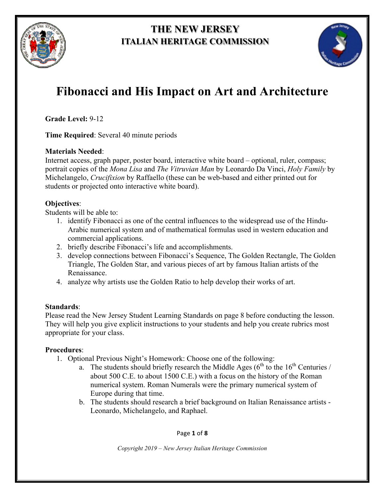

# **THE NEW JERSEY ITALIAN HERITAGE COMMISSION**



# **Fibonacci and His Impact on Art and Architecture**

**Grade Level:** 9-12

**Time Required**: Several 40 minute periods

## **Materials Needed**:

Internet access, graph paper, poster board, interactive white board – optional, ruler, compass; portrait copies of the *Mona Lisa* and *The Vitruvian Man* by Leonardo Da Vinci, *Holy Family* by Michelangelo, *Crucifixion* by Raffaello (these can be web-based and either printed out for students or projected onto interactive white board).

## **Objectives**:

Students will be able to:

- 1. identify Fibonacci as one of the central influences to the widespread use of the Hindu-Arabic numerical system and of mathematical formulas used in western education and commercial applications.
- 2. briefly describe Fibonacci's life and accomplishments.
- 3. develop connections between Fibonacci's Sequence, The Golden Rectangle, The Golden Triangle, The Golden Star, and various pieces of art by famous Italian artists of the Renaissance.
- 4. analyze why artists use the Golden Ratio to help develop their works of art.

## **Standards**:

Please read the New Jersey Student Learning Standards on page 8 before conducting the lesson. They will help you give explicit instructions to your students and help you create rubrics most appropriate for your class.

## **Procedures**:

- 1. Optional Previous Night's Homework: Choose one of the following:
	- a. The students should briefly research the Middle Ages  $(6<sup>th</sup>$  to the  $16<sup>th</sup>$  Centuries / about 500 C.E. to about 1500 C.E.) with a focus on the history of the Roman numerical system. Roman Numerals were the primary numerical system of Europe during that time.
	- b. The students should research a brief background on Italian Renaissance artists Leonardo, Michelangelo, and Raphael.

Page **1** of **8**

*Copyright 2019 – New Jersey Italian Heritage Commission*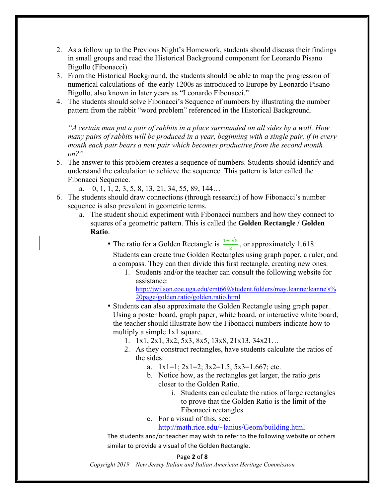- 2. As a follow up to the Previous Night's Homework, students should discuss their findings in small groups and read the Historical Background component for Leonardo Pisano Bigollo (Fibonacci).
- 3. From the Historical Background, the students should be able to map the progression of numerical calculations of the early 1200s as introduced to Europe by Leonardo Pisano Bigollo, also known in later years as "Leonardo Fibonacci."
- 4. The students should solve Fibonacci's Sequence of numbers by illustrating the number pattern from the rabbit "word problem" referenced in the Historical Background.

*"A certain man put a pair of rabbits in a place surrounded on all sides by a wall. How many pairs of rabbits will be produced in a year, beginning with a single pair, if in every month each pair bears a new pair which becomes productive from the second month on?"*

- 5. The answer to this problem creates a sequence of numbers. Students should identify and understand the calculation to achieve the sequence. This pattern is later called the Fibonacci Sequence.
	- a. 0, 1, 1, 2, 3, 5, 8, 13, 21, 34, 55, 89, 144…
- 6. The students should draw connections (through research) of how Fibonacci's number sequence is also prevalent in geometric terms.
	- a. The student should experiment with Fibonacci numbers and how they connect to squares of a geometric pattern. This is called the **Golden Rectangle / Golden Ratio**.
		- The ratio for a Golden Rectangle is  $\frac{1+\sqrt{5}}{2}$ , or approximately 1.618. Students can create true Golden Rectangles using graph paper, a ruler, and a compass. They can then divide this first rectangle, creating new ones.
			- 1. Students and/or the teacher can consult the following website for assistance:

http://jwilson.coe.uga.edu/emt669/student.folders/may.leanne/leanne's% 20page/golden.ratio/golden.ratio.html

- Students can also approximate the Golden Rectangle using graph paper. Using a poster board, graph paper, white board, or interactive white board, the teacher should illustrate how the Fibonacci numbers indicate how to multiply a simple 1x1 square.
	- 1. 1x1, 2x1, 3x2, 5x3, 8x5, 13x8, 21x13, 34x21…
	- 2. As they construct rectangles, have students calculate the ratios of the sides:
		- a.  $1x1=1$ ;  $2x1=2$ ;  $3x2=1.5$ ;  $5x3=1.667$ ; etc.
		- b. Notice how, as the rectangles get larger, the ratio gets closer to the Golden Ratio.
			- i. Students can calculate the ratios of large rectangles to prove that the Golden Ratio is the limit of the Fibonacci rectangles.
		- c. For a visual of this, see:

http://math.rice.edu/~lanius/Geom/building.html

The students and/or teacher may wish to refer to the following website or others similar to provide a visual of the Golden Rectangle.

#### Page **2** of **8**

*Copyright 2019 – New Jersey Italian and Italian American Heritage Commission*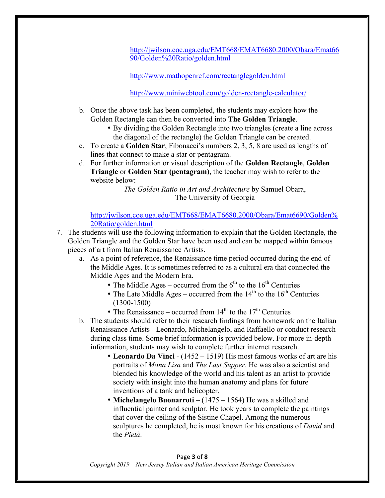http://jwilson.coe.uga.edu/EMT668/EMAT6680.2000/Obara/Emat66 90/Golden%20Ratio/golden.html

http://www.mathopenref.com/rectanglegolden.html

http://www.miniwebtool.com/golden-rectangle-calculator/

- b. Once the above task has been completed, the students may explore how the Golden Rectangle can then be converted into **The Golden Triangle**.
	- By dividing the Golden Rectangle into two triangles (create a line across the diagonal of the rectangle) the Golden Triangle can be created.
- c. To create a **Golden Star**, Fibonacci's numbers 2, 3, 5, 8 are used as lengths of lines that connect to make a star or pentagram.
- d. For further information or visual description of the **Golden Rectangle**, **Golden Triangle** or **Golden Star (pentagram)**, the teacher may wish to refer to the website below:

*The Golden Ratio in Art and Architecture* by Samuel Obara, The University of Georgia

http://jwilson.coe.uga.edu/EMT668/EMAT6680.2000/Obara/Emat6690/Golden% 20Ratio/golden.html

- 7. The students will use the following information to explain that the Golden Rectangle, the Golden Triangle and the Golden Star have been used and can be mapped within famous pieces of art from Italian Renaissance Artists.
	- a. As a point of reference, the Renaissance time period occurred during the end of the Middle Ages. It is sometimes referred to as a cultural era that connected the Middle Ages and the Modern Era.
		- The Middle Ages occurred from the  $6<sup>th</sup>$  to the 16<sup>th</sup> Centuries
		- The Late Middle Ages occurred from the  $14<sup>th</sup>$  to the  $16<sup>th</sup>$  Centuries (1300-1500)
		- The Renaissance occurred from  $14<sup>th</sup>$  to the  $17<sup>th</sup>$  Centuries
	- b. The students should refer to their research findings from homework on the Italian Renaissance Artists - Leonardo, Michelangelo, and Raffaello or conduct research during class time. Some brief information is provided below. For more in-depth information, students may wish to complete further internet research.
		- **Leonardo Da Vinci** (1452 1519) His most famous works of art are his portraits of *Mona Lisa* and *The Last Supper*. He was also a scientist and blended his knowledge of the world and his talent as an artist to provide society with insight into the human anatomy and plans for future inventions of a tank and helicopter.
		- **Michelangelo Buonarroti** (1475 1564) He was a skilled and influential painter and sculptor. He took years to complete the paintings that cover the ceiling of the Sistine Chapel. Among the numerous sculptures he completed, he is most known for his creations of *David* and the *Pietà*.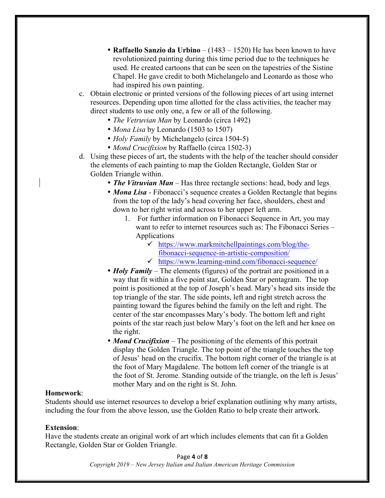- **Raffaello Sanzio da Urbino** (1483 1520) He has been known to have revolutionized painting during this time period due to the techniques he used. He created cartoons that can be seen on the tapestries of the Sistine Chapel. He gave credit to both Michelangelo and Leonardo as those who had inspired his own painting.
- c. Obtain electronic or printed versions of the following pieces of art using internet resources. Depending upon time allotted for the class activities, the teacher may direct students to use only one, a few or all of the following.
	- *The Vetruvian Man* by Leonardo (circa 1492)
	- *Mona Lisa* by Leonardo (1503 to 1507)
	- *Holy Family* by Michelangelo (circa 1504-5)
	- *Mond Crucifixion* by Raffaello (circa 1502-3)
- d. Using these pieces of art, the students with the help of the teacher should consider the elements of each painting to map the Golden Rectangle, Golden Star or Golden Triangle within.
	- *The Vitruvian Man* Has three rectangle sections: head, body and legs.
	- *Mona Lisa* Fibonacci's sequence creates a Golden Rectangle that begins from the top of the lady's head covering her face, shoulders, chest and down to her right wrist and across to her upper left arm.
		- 1. For further information on Fibonacci Sequence in Art, you may want to refer to internet resources such as: The Fibonacci Series – Applications
			- $\checkmark$  https://www.markmitchellpaintings.com/blog/the
				- fibonacci-sequence-in-artistic-composition/
			- $\checkmark$  https://www.learning-mind.com/fibonacci-sequence/
	- *Holy Family* The elements (figures) of the portrait are positioned in a way that fit within a five point star, Golden Star or pentagram. The top point is positioned at the top of Joseph's head. Mary's head sits inside the top triangle of the star. The side points, left and right stretch across the painting toward the figures behind the family on the left and right. The center of the star encompasses Mary's body. The bottom left and right points of the star reach just below Mary's foot on the left and her knee on the right.
	- *Mond Crucifixion* The positioning of the elements of this portrait display the Golden Triangle. The top point of the triangle touches the top of Jesus' head on the crucifix. The bottom right corner of the triangle is at the foot of Mary Magdalene. The bottom left corner of the triangle is at the foot of St. Jerome. Standing outside of the triangle, on the left is Jesus' mother Mary and on the right is St. John.

#### **Homework**:

Students should use internet resources to develop a brief explanation outlining why many artists, including the four from the above lesson, use the Golden Ratio to help create their artwork.

#### **Extension**:

Have the students create an original work of art which includes elements that can fit a Golden Rectangle, Golden Star or Golden Triangle.

> Page **4** of **8** *Copyright 2019 – New Jersey Italian and Italian American Heritage Commission*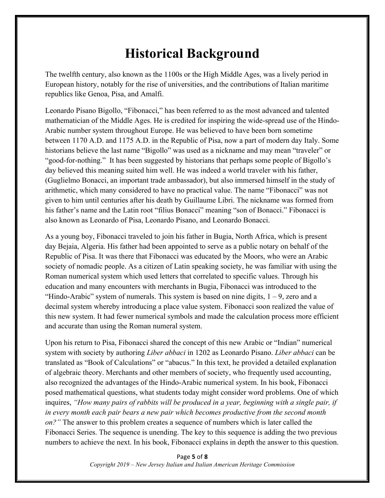# **Historical Background**

The twelfth century, also known as the 1100s or the High Middle Ages, was a lively period in European history, notably for the rise of universities, and the contributions of Italian maritime republics like Genoa, Pisa, and Amalfi.

Leonardo Pisano Bigollo, "Fibonacci," has been referred to as the most advanced and talented mathematician of the Middle Ages. He is credited for inspiring the wide-spread use of the Hindo-Arabic number system throughout Europe. He was believed to have been born sometime between 1170 A.D. and 1175 A.D. in the Republic of Pisa, now a part of modern day Italy. Some historians believe the last name "Bigollo" was used as a nickname and may mean "traveler" or "good-for-nothing." It has been suggested by historians that perhaps some people of Bigollo's day believed this meaning suited him well. He was indeed a world traveler with his father, (Guglielmo Bonacci, an important trade ambassador), but also immersed himself in the study of arithmetic, which many considered to have no practical value. The name "Fibonacci" was not given to him until centuries after his death by Guillaume Libri. The nickname was formed from his father's name and the Latin root "filius Bonacci" meaning "son of Bonacci." Fibonacci is also known as Leonardo of Pisa, Leonardo Pisano, and Leonardo Bonacci.

As a young boy, Fibonacci traveled to join his father in Bugia, North Africa, which is present day Bejaia, Algeria. His father had been appointed to serve as a public notary on behalf of the Republic of Pisa. It was there that Fibonacci was educated by the Moors, who were an Arabic society of nomadic people. As a citizen of Latin speaking society, he was familiar with using the Roman numerical system which used letters that correlated to specific values. Through his education and many encounters with merchants in Bugia, Fibonacci was introduced to the "Hindo-Arabic" system of numerals. This system is based on nine digits,  $1 - 9$ , zero and a decimal system whereby introducing a place value system. Fibonacci soon realized the value of this new system. It had fewer numerical symbols and made the calculation process more efficient and accurate than using the Roman numeral system.

Upon his return to Pisa, Fibonacci shared the concept of this new Arabic or "Indian" numerical system with society by authoring *Liber abbaci* in 1202 as Leonardo Pisano. *Liber abbaci* can be translated as "Book of Calculations" or "abacus." In this text, he provided a detailed explanation of algebraic theory. Merchants and other members of society, who frequently used accounting, also recognized the advantages of the Hindo-Arabic numerical system. In his book, Fibonacci posed mathematical questions, what students today might consider word problems. One of which inquires, *"How many pairs of rabbits will be produced in a year, beginning with a single pair, if in every month each pair bears a new pair which becomes productive from the second month on?"* The answer to this problem creates a sequence of numbers which is later called the Fibonacci Series. The sequence is unending. The key to this sequence is adding the two previous numbers to achieve the next. In his book, Fibonacci explains in depth the answer to this question.

> Page **5** of **8** *Copyright 2019 – New Jersey Italian and Italian American Heritage Commission*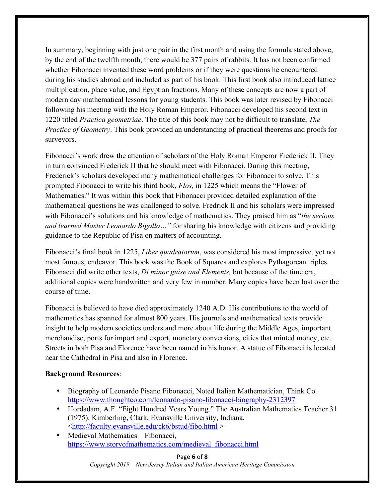In summary, beginning with just one pair in the first month and using the formula stated above, by the end of the twelfth month, there would be 377 pairs of rabbits. It has not been confirmed whether Fibonacci invented these word problems or if they were questions he encountered during his studies abroad and included as part of his book. This first book also introduced lattice multiplication, place value, and Egyptian fractions. Many of these concepts are now a part of modern day mathematical lessons for young students. This book was later revised by Fibonacci following his meeting with the Holy Roman Emperor. Fibonacci developed his second text in 1220 titled *Practica geometriae*. The title of this book may not be difficult to translate, *The Practice of Geometry*. This book provided an understanding of practical theorems and proofs for surveyors.

Fibonacci's work drew the attention of scholars of the Holy Roman Emperor Frederick II. They in turn convinced Frederick II that he should meet with Fibonacci. During this meeting, Frederick's scholars developed many mathematical challenges for Fibonacci to solve. This prompted Fibonacci to write his third book, *Flos,* in 1225 which means the "Flower of Mathematics." It was within this book that Fibonacci provided detailed explanation of the mathematical questions he was challenged to solve. Fredrick II and his scholars were impressed with Fibonacci's solutions and his knowledge of mathematics. They praised him as "*the serious and learned Master Leonardo Bigollo…"* for sharing his knowledge with citizens and providing guidance to the Republic of Pisa on matters of accounting.

Fibonacci's final book in 1225, *Liber quadratorum*, was considered his most impressive, yet not most famous, endeavor. This book was the Book of Squares and explores Pythagorean triples. Fibonacci did write other texts, *Di minor guise and Elements,* but because of the time era, additional copies were handwritten and very few in number. Many copies have been lost over the course of time.

Fibonacci is believed to have died approximately 1240 A.D. His contributions to the world of mathematics has spanned for almost 800 years. His journals and mathematical texts provide insight to help modern societies understand more about life during the Middle Ages, important merchandise, ports for import and export, monetary conversions, cities that minted money, etc. Streets in both Pisa and Florence have been named in his honor. A statue of Fibonacci is located near the Cathedral in Pisa and also in Florence.

#### **Background Resources**:

- Biography of Leonardo Pisano Fibonacci, Noted Italian Mathematician, Think Co. https://www.thoughtco.com/leonardo-pisano-fibonacci-biography-2312397
- Hordadam, A.F. "Eight Hundred Years Young." The Australian Mathematics Teacher 31 (1975). Kimberling, Clark, Evansville University, Indiana. <http://faculty.evansville.edu/ck6/bstud/fibo.html >
- Medieval Mathematics Fibonacci, https://www.storyofmathematics.com/medieval\_fibonacci.html

Page **6** of **8** *Copyright 2019 – New Jersey Italian and Italian American Heritage Commission*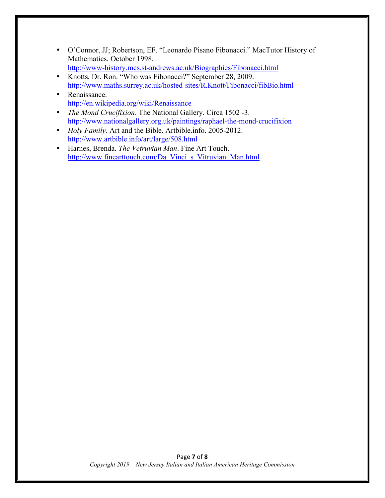- O'Connor, JJ; Robertson, EF. "Leonardo Pisano Fibonacci." MacTutor History of Mathematics. October 1998. http://www-history.mcs.st-andrews.ac.uk/Biographies/Fibonacci.html
- Knotts, Dr. Ron. "Who was Fibonacci?" September 28, 2009. http://www.maths.surrey.ac.uk/hosted-sites/R.Knott/Fibonacci/fibBio.html
- Renaissance http://en.wikipedia.org/wiki/Renaissance
- *The Mond Crucifixion*. The National Gallery. Circa 1502 -3. http://www.nationalgallery.org.uk/paintings/raphael-the-mond-crucifixion
- *Holy Family*. Art and the Bible. Artbible.info. 2005-2012. http://www.artbible.info/art/large/508.html
- Harnes, Brenda. *The Vetruvian Man*. Fine Art Touch. http://www.finearttouch.com/Da\_Vinci\_s\_Vitruvian\_Man.html